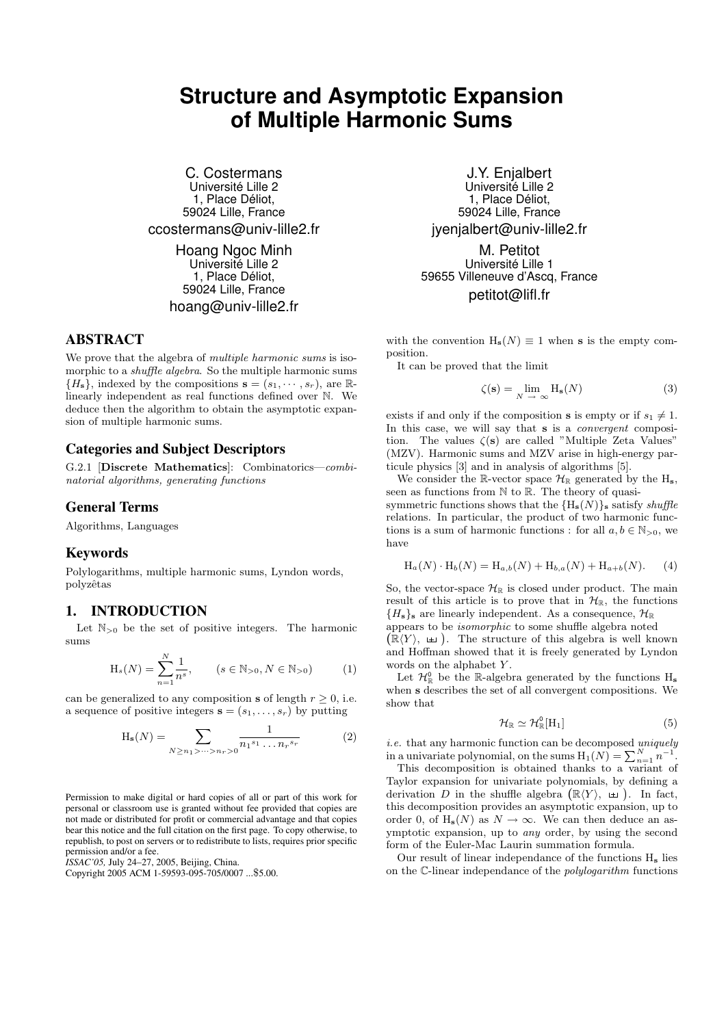# **Structure and Asymptotic Expansion of Multiple Harmonic Sums**

C. Costermans Université Lille 2 1, Place Déliot, 59024 Lille, France ccostermans@univ-lille2.fr

> Hoang Ngoc Minh Université Lille 2 1. Place Déliot. 59024 Lille, France hoang@univ-lille2.fr

# ABSTRACT

We prove that the algebra of *multiple harmonic sums* is isomorphic to a shuffle algebra. So the multiple harmonic sums  ${H<sub>s</sub>}$ , indexed by the compositions  $s = (s_1, \dots, s_r)$ , are  $\mathbb{R}$ linearly independent as real functions defined over N. We deduce then the algorithm to obtain the asymptotic expansion of multiple harmonic sums.

# Categories and Subject Descriptors

G.2.1 [Discrete Mathematics]: Combinatorics—combinatorial algorithms, generating functions

## General Terms

Algorithms, Languages

## Keywords

Polylogarithms, multiple harmonic sums, Lyndon words, polyzêtas

## 1. INTRODUCTION

Let  $\mathbb{N}_{>0}$  be the set of positive integers. The harmonic sums

$$
H_s(N) = \sum_{n=1}^{N} \frac{1}{n^s}, \qquad (s \in \mathbb{N}_{>0}, N \in \mathbb{N}_{>0})
$$
 (1)

can be generalized to any composition **s** of length  $r > 0$ , i.e. a sequence of positive integers  $\mathbf{s} = (s_1, \ldots, s_r)$  by putting

$$
H_s(N) = \sum_{N \ge n_1 > \dots > n_r > 0} \frac{1}{n_1^{s_1} \dots n_r^{s_r}} \tag{2}
$$

Permission to make digital or hard copies of all or part of this work for personal or classroom use is granted without fee provided that copies are not made or distributed for profit or commercial advantage and that copies bear this notice and the full citation on the first page. To copy otherwise, to republish, to post on servers or to redistribute to lists, requires prior specific permission and/or a fee.

*ISSAC'05,* July 24–27, 2005, Beijing, China.

Copyright 2005 ACM 1-59593-095-705/0007 ...\$5.00.

J.Y. Enjalbert Université Lille 2 1, Place Déliot, 59024 Lille, France jyenjalbert@univ-lille2.fr

M. Petitot Université Lille 1 59655 Villeneuve d'Ascq, France petitot@lifl.fr

with the convention  $H_s(N) \equiv 1$  when s is the empty composition.

It can be proved that the limit

$$
\zeta(\mathbf{s}) = \lim_{N \to \infty} \mathcal{H}_{\mathbf{s}}(N) \tag{3}
$$

exists if and only if the composition **s** is empty or if  $s_1 \neq 1$ . In this case, we will say that s is a *convergent* composition. The values  $\zeta(s)$  are called "Multiple Zeta Values" (MZV). Harmonic sums and MZV arise in high-energy particule physics [3] and in analysis of algorithms [5].

We consider the R-vector space  $\mathcal{H}_{\mathbb{R}}$  generated by the H<sub>s</sub>, seen as functions from  $\mathbb N$  to  $\mathbb R$ . The theory of quasisymmetric functions shows that the  $\{H_s(N)\}\$ s satisfy shuffle relations. In particular, the product of two harmonic functions is a sum of harmonic functions : for all  $a, b \in \mathbb{N}_{>0}$ , we have

$$
H_a(N) \cdot H_b(N) = H_{a,b}(N) + H_{b,a}(N) + H_{a+b}(N). \tag{4}
$$

So, the vector-space  $\mathcal{H}_{\mathbb{R}}$  is closed under product. The main result of this article is to prove that in  $\mathcal{H}_{\mathbb{R}}$ , the functions  ${H<sub>s</sub>}<sub>s</sub>$  are linearly independent. As a consequence,  $\mathcal{H}_{\mathbb{R}}$ appears to be isomorphic to some shuffle algebra noted

 $(\mathbb{R}\langle Y\rangle, \perp)$ . The structure of this algebra is well known and Hoffman showed that it is freely generated by Lyndon words on the alphabet Y.

Let  $\mathcal{H}_{\mathbb{R}}^0$  be the R-algebra generated by the functions  $H_s$ when s describes the set of all convergent compositions. We show that

$$
\mathcal{H}_{\mathbb{R}} \simeq \mathcal{H}_{\mathbb{R}}^0[\mathrm{H}_1] \tag{5}
$$

i.e. that any harmonic function can be decomposed uniquely in a univariate polynomial, on the sums  $H_1(N) = \sum_{n=1}^{N} n^{-1}$ .

This decomposition is obtained thanks to a variant of Taylor expansion for univariate polynomials, by defining a derivation D in the shuffle algebra  $(\mathbb{R}\langle Y\rangle, \Box)$ . In fact, this decomposition provides an asymptotic expansion, up to order 0, of  $H_s(N)$  as  $N \to \infty$ . We can then deduce an asymptotic expansion, up to any order, by using the second form of the Euler-Mac Laurin summation formula.

Our result of linear independance of the functions H<sup>s</sup> lies on the C-linear independance of the polylogarithm functions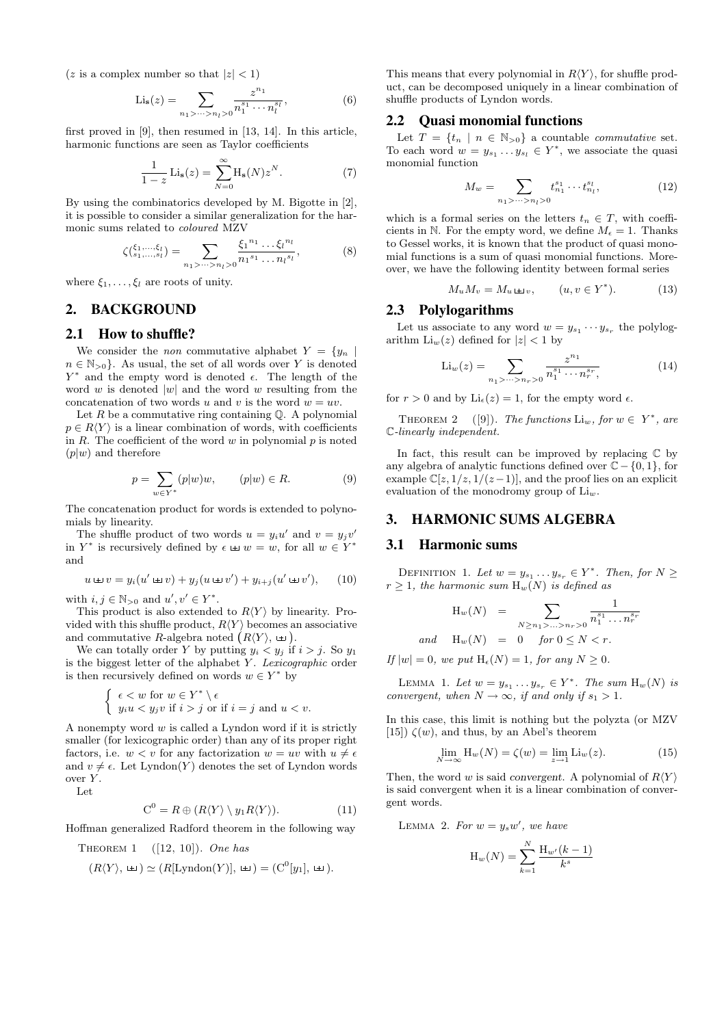(z is a complex number so that  $|z| < 1$ )

$$
\text{Li}_s(z) = \sum_{n_1 > \dots > n_l > 0} \frac{z^{n_1}}{n_1^{s_1} \cdots n_l^{s_l}},\tag{6}
$$

first proved in [9], then resumed in [13, 14]. In this article, harmonic functions are seen as Taylor coefficients

$$
\frac{1}{1-z}\operatorname{Li}_{\mathbf{s}}(z) = \sum_{N=0}^{\infty} \operatorname{H}_{\mathbf{s}}(N) z^N.
$$
 (7)

By using the combinatorics developed by M. Bigotte in [2], it is possible to consider a similar generalization for the harmonic sums related to coloured MZV

$$
\zeta(\xi_1, \dots, \xi_l) = \sum_{n_1 > \dots > n_l > 0} \frac{\xi_1^{n_1} \dots \xi_l^{n_l}}{n_1^{s_1} \dots n_l^{s_l}},
$$
(8)

where  $\xi_1, \ldots, \xi_l$  are roots of unity.

# 2. BACKGROUND

#### 2.1 How to shuffle?

We consider the *non* commutative alphabet  $Y = \{y_n\}$  $n \in \mathbb{N}_{>0}$ . As usual, the set of all words over Y is denoted  $Y^*$  and the empty word is denoted  $\epsilon$ . The length of the word w is denoted  $|w|$  and the word w resulting from the concatenation of two words u and v is the word  $w = uv$ .

Let  $R$  be a commutative ring containing  $\mathbb Q$ . A polynomial  $p \in R\langle Y \rangle$  is a linear combination of words, with coefficients in  $R$ . The coefficient of the word  $w$  in polynomial  $p$  is noted  $(p|w)$  and therefore

$$
p = \sum_{w \in Y^*} (p|w)w, \qquad (p|w) \in R. \tag{9}
$$

The concatenation product for words is extended to polynomials by linearity.

The shuffle product of two words  $u = y_i u'$  and  $v = y_j v'$ in  $Y^*$  is recursively defined by  $\epsilon \perp w = w$ , for all  $w \in Y^*$ and

$$
u \ln v = y_i(u' \ln v) + y_j(u \ln v') + y_{i+j}(u' \ln v'), \quad (10)
$$

with  $i, j \in \mathbb{N}_{>0}$  and  $u', v' \in Y^*$ .

This product is also extended to  $R\langle Y \rangle$  by linearity. Provided with this shuffle product,  $R\langle Y \rangle$  becomes an associative and commutative R-algebra noted  $(R\langle Y\rangle, \perp)$ .

We can totally order Y by putting  $y_i < y_j$  if  $i > j$ . So  $y_1$ is the biggest letter of the alphabet  $Y$ . Lexicographic order is then recursively defined on words  $w \in Y^*$  by

$$
\begin{cases} \epsilon < w \text{ for } w \in Y^* \setminus \epsilon \\ y_i u < y_j v \text{ if } i > j \text{ or if } i = j \text{ and } u < v. \end{cases}
$$

A nonempty word  $w$  is called a Lyndon word if it is strictly smaller (for lexicographic order) than any of its proper right factors, i.e.  $w < v$  for any factorization  $w = uv$  with  $u \neq \epsilon$ and  $v \neq \epsilon$ . Let Lyndon(Y) denotes the set of Lyndon words over Y.

Let

$$
C^{0} = R \oplus (R\langle Y \rangle \setminus y_{1}R\langle Y \rangle). \tag{11}
$$

Hoffman generalized Radford theorem in the following way

THEOREM 1  $([12, 10])$ . One has

$$
(R\langle Y\rangle, \perp) \simeq (R[\text{Lyndon}(Y)], \perp) = (\text{C}^0[y_1], \perp).
$$

This means that every polynomial in  $R\langle Y\rangle$ , for shuffle product, can be decomposed uniquely in a linear combination of shuffle products of Lyndon words.

## 2.2 Quasi monomial functions

Let  $T = \{t_n \mid n \in \mathbb{N}_{>0}\}\$ a countable *commutative* set. To each word  $w = y_{s_1} \dots y_{s_l} \in Y^*$ , we associate the quasi monomial function

$$
M_w = \sum_{n_1 > \dots > n_l > 0} t_{n_1}^{s_1} \cdots t_{n_l}^{s_l},
$$
 (12)

which is a formal series on the letters  $t_n \in T$ , with coefficients in N. For the empty word, we define  $M_{\epsilon} = 1$ . Thanks to Gessel works, it is known that the product of quasi monomial functions is a sum of quasi monomial functions. Moreover, we have the following identity between formal series

$$
M_u M_v = M_u \sqcup \qquad \quad (u, v \in Y^*). \tag{13}
$$

#### 2.3 Polylogarithms

Let us associate to any word  $w = y_{s_1} \cdots y_{s_r}$  the polylogarithm  $\text{Li}_{w}(z)$  defined for  $|z| < 1$  by

$$
\text{Li}_w(z) = \sum_{n_1 > \dots > n_r > 0} \frac{z^{n_1}}{n_1^{s_1} \cdots n_r^{s_r}},\tag{14}
$$

for  $r > 0$  and by  $\text{Li}_{\epsilon}(z) = 1$ , for the empty word  $\epsilon$ .

THEOREM 2 ([9]). The functions  $\text{Li}_w$ , for  $w \in Y^*$ , are C-linearly independent.

In fact, this result can be improved by replacing  $\mathbb C$  by any algebra of analytic functions defined over  $\mathbb{C} - \{0, 1\}$ , for example  $\mathbb{C}[z, 1/z, 1/(z-1)]$ , and the proof lies on an explicit evaluation of the monodromy group of  $Li<sub>w</sub>$ .

#### 3. HARMONIC SUMS ALGEBRA

#### 3.1 Harmonic sums

DEFINITION 1. Let  $w = y_{s_1} \dots y_{s_r} \in Y^*$ . Then, for  $N \geq$  $r \geq 1$ , the harmonic sum  $H_w(N)$  is defined as

$$
H_w(N) = \sum_{N \ge n_1 > ... > n_r > 0} \frac{1}{n_1^{s_1} \dots n_r^{s_r}}
$$
  
and  $H_w(N) = 0$  for  $0 \le N < r$ .

If  $|w| = 0$ , we put  $H_{\epsilon}(N) = 1$ , for any  $N \geq 0$ .

LEMMA 1. Let  $w = y_{s_1} \dots y_{s_r} \in Y^*$ . The sum  $H_w(N)$  is convergent, when  $N \to \infty$ , if and only if  $s_1 > 1$ .

In this case, this limit is nothing but the polyzta (or MZV [15])  $\zeta(w)$ , and thus, by an Abel's theorem

$$
\lim_{N \to \infty} \mathcal{H}_w(N) = \zeta(w) = \lim_{z \to 1} \mathcal{L}_w(z). \tag{15}
$$

Then, the word w is said convergent. A polynomial of  $R\langle Y \rangle$ is said convergent when it is a linear combination of convergent words.

LEMMA 2. For  $w = y_s w'$ , we have

$$
H_w(N) = \sum_{k=1}^{N} \frac{H_{w'}(k-1)}{k^s}
$$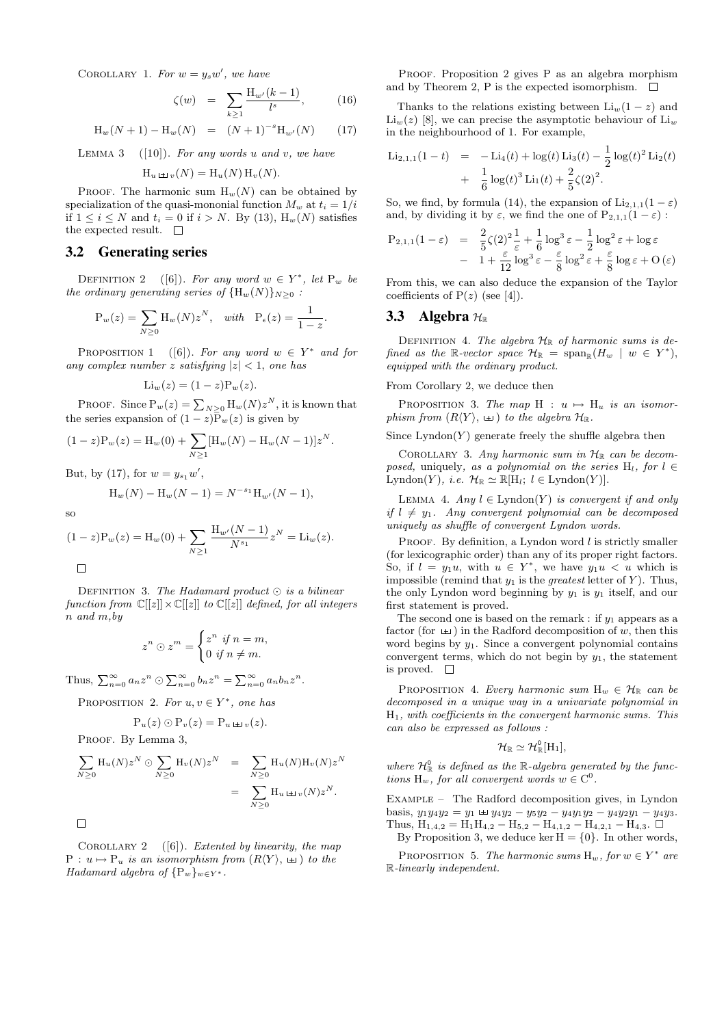COROLLARY 1. For  $w = y_s w'$ , we have

$$
\zeta(w) = \sum_{k \ge 1} \frac{\mathcal{H}_{w'}(k-1)}{l^s}, \quad (16)
$$

$$
H_w(N + 1) - H_w(N) = (N + 1)^{-s} H_{w'}(N) \qquad (17)
$$

LEMMA 3  $([10])$ . For any words u and v, we have  $\mathcal{H}_u \uplus_{v}(N) = \mathcal{H}_u(N) \mathcal{H}_v(N).$ 

PROOF. The harmonic sum  $H_w(N)$  can be obtained by specialization of the quasi-mononial function  $M_w$  at  $t_i = 1/i$ if  $1 \leq i \leq N$  and  $t_i = 0$  if  $i > N$ . By (13),  $H_w(N)$  satisfies the expected result.  $\quad \Box$ 

#### 3.2 Generating series

DEFINITION 2 ([6]). For any word  $w \in Y^*$ , let  $P_w$  be the ordinary generating series of  ${H_w(N)}_{N>0}$ :

$$
P_w(z) = \sum_{N \ge 0} H_w(N) z^N, \quad with \quad P_{\epsilon}(z) = \frac{1}{1-z}.
$$

PROPOSITION 1 ([6]). For any word  $w \in Y^*$  and for any complex number z satisfying  $|z| < 1$ , one has

$$
\mathrm{Li}_w(z) = (1-z)\mathrm{P}_w(z).
$$

PROOF. Since  $P_w(z) = \sum_{N \geq 0} H_w(N) z^N$ , it is known that the series expansion of  $(1-z)\overline{P}_w(z)$  is given by

$$
(1-z)P_w(z) = H_w(0) + \sum_{N \ge 1} [H_w(N) - H_w(N-1)]z^N.
$$

But, by (17), for  $w = y_{s_1}w'$ ,

$$
H_w(N) - H_w(N - 1) = N^{-s_1} H_{w'}(N - 1),
$$

so

$$
(1-z)P_w(z) = H_w(0) + \sum_{N \ge 1} \frac{H_{w'}(N-1)}{N^{s_1}} z^N = \text{Li}_w(z).
$$

DEFINITION 3. The Hadamard product  $\odot$  is a bilinear function from  $\mathbb{C}[[z]] \times \mathbb{C}[[z]]$  to  $\mathbb{C}[[z]]$  defined, for all integers n and m,by

$$
z^n \odot z^m = \begin{cases} z^n & \text{if } n = m, \\ 0 & \text{if } n \neq m. \end{cases}
$$

Thus,  $\sum_{n=0}^{\infty} a_n z^n \odot \sum_{n=0}^{\infty} b_n z^n = \sum_{n=0}^{\infty} a_n b_n z^n$ .

PROPOSITION 2. For 
$$
u, v \in Y^*
$$
, one has

$$
\mathrm{P}_u(z) \odot \mathrm{P}_v(z) = \mathrm{P}_u \mathop{\scriptstyle \,\,\mathrm{\scriptstyle \,\!\!\!\! \,\,\mathrm{\scriptstyle \,\,\mathrm{\scriptstyle u}}\,}}(z).
$$

PROOF. By Lemma 3,

$$
\sum_{N\geq 0} \mathcal{H}_u(N) z^N \odot \sum_{N\geq 0} \mathcal{H}_v(N) z^N = \sum_{N\geq 0} \mathcal{H}_u(N) \mathcal{H}_v(N) z^N
$$
  
= 
$$
\sum_{N\geq 0} \mathcal{H}_u \perp_{v}(N) z^N.
$$

 $\Box$ 

COROLLARY 2  $([6])$ . Extented by linearity, the map  $P : u \mapsto P_u$  is an isomorphism from  $(R\langle Y \rangle, \perp)$  to the Hadamard algebra of  $\{P_w\}_{w\in Y^*}$ .

PROOF. Proposition 2 gives P as an algebra morphism and by Theorem 2, P is the expected isomorphism.  $\square$ 

Thanks to the relations existing between  $Li_w(1-z)$  and  $\text{Li}_{w}(z)$  [8], we can precise the asymptotic behaviour of  $\text{Li}_{w}$ in the neighbourhood of 1. For example,

$$
\text{Li}_{2,1,1}(1-t) = -\text{Li}_4(t) + \log(t) \text{Li}_3(t) - \frac{1}{2} \log(t)^2 \text{Li}_2(t) + \frac{1}{6} \log(t)^3 \text{Li}_1(t) + \frac{2}{5} \zeta(2)^2.
$$

So, we find, by formula (14), the expansion of  $\text{Li}_{2,1,1}(1-\varepsilon)$ and, by dividing it by  $\varepsilon$ , we find the one of  $P_{2,1,1}(1-\varepsilon)$ :

$$
P_{2,1,1}(1-\varepsilon) = \frac{2}{5}\zeta(2)^2 \frac{1}{\varepsilon} + \frac{1}{6}\log^3 \varepsilon - \frac{1}{2}\log^2 \varepsilon + \log \varepsilon
$$
  
-  $1 + \frac{\varepsilon}{12}\log^3 \varepsilon - \frac{\varepsilon}{8}\log^2 \varepsilon + \frac{\varepsilon}{8}\log \varepsilon + O(\varepsilon)$ 

From this, we can also deduce the expansion of the Taylor coefficients of  $P(z)$  (see [4]).

## 3.3 Algebra  $H_{\mathbb{R}}$

DEFINITION 4. The algebra  $\mathcal{H}_{\mathbb{R}}$  of harmonic sums is defined as the R-vector space  $\mathcal{H}_{\mathbb{R}} = \text{span}_{\mathbb{R}}(H_w \mid w \in Y^*),$ equipped with the ordinary product.

#### From Corollary 2, we deduce then

PROPOSITION 3. The map  $H : u \mapsto H_u$  is an isomorphism from  $(R\langle Y\rangle, \perp)$  to the algebra  $\mathcal{H}_{\mathbb{R}}$ .

Since  $Lyndon(Y)$  generate freely the shuffle algebra then

COROLLARY 3. Any harmonic sum in  $\mathcal{H}_{\mathbb{R}}$  can be decomposed, uniquely, as a polynomial on the series  $H_l$ , for  $l \in$ Lyndon(Y), *i.e.*  $\mathcal{H}_{\mathbb{R}} \simeq \mathbb{R}[\mathrm{H}_l; l \in \mathrm{Lyndon}(Y)].$ 

LEMMA 4. Any  $l \in$  Lyndon(Y) is convergent if and only if  $l \neq y_1$ . Any convergent polynomial can be decomposed uniquely as shuffle of convergent Lyndon words.

PROOF. By definition, a Lyndon word  $l$  is strictly smaller (for lexicographic order) than any of its proper right factors. So, if  $l = y_1u$ , with  $u \in Y^*$ , we have  $y_1u < u$  which is impossible (remind that  $y_1$  is the greatest letter of Y). Thus, the only Lyndon word beginning by  $y_1$  is  $y_1$  itself, and our first statement is proved.

The second one is based on the remark : if  $y_1$  appears as a factor (for  $\pm$ ) in the Radford decomposition of w, then this word begins by  $y_1$ . Since a convergent polynomial contains convergent terms, which do not begin by  $y_1$ , the statement is proved.  $\square$ 

PROPOSITION 4. Every harmonic sum  $H_w \in \mathcal{H}_{\mathbb{R}}$  can be decomposed in a unique way in a univariate polynomial in  $H_1$ , with coefficients in the convergent harmonic sums. This can also be expressed as follows :

$$
\mathcal{H}_\mathbb{R}\simeq\mathcal{H}^0_\mathbb{R}[\mathrm{H}_1],
$$

where  $\mathcal{H}_{\mathbb{R}}^{0}$  is defined as the  $\mathbb{R}$ -algebra generated by the functions  $H_w$ , for all convergent words  $w \in C^0$ .

Example – The Radford decomposition gives, in Lyndon basis,  $y_1y_4y_2 = y_1 \boxplus y_4y_2 - y_5y_2 - y_4y_1y_2 - y_4y_2y_1 - y_4y_3$ . Thus,  $H_{1,4,2} = H_1H_{4,2} - H_{5,2} - H_{4,1,2} - H_{4,2,1} - H_{4,3}$ .  $\Box$ By Proposition 3, we deduce ker  $H = \{0\}$ . In other words,

PROPOSITION 5. The harmonic sums  $H_w$ , for  $w \in Y^*$  are R-linearly independent.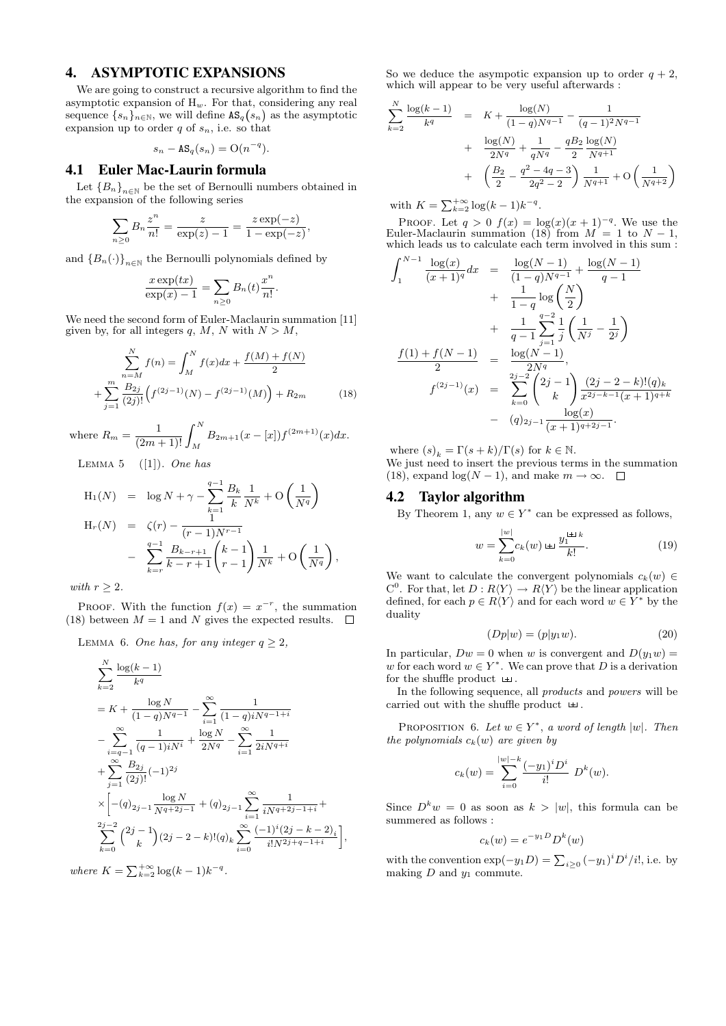# 4. ASYMPTOTIC EXPANSIONS

We are going to construct a recursive algorithm to find the asymptotic expansion of  $H_w$ . For that, considering any real sequence  $\{s_n\}_{n\in\mathbb{N}}$ , we will define  $\mathtt{AS}_q(s_n)$  as the asymptotic expansion up to order  $q$  of  $s_n$ , i.e. so that

$$
s_n - \mathbf{AS}_q(s_n) = \mathcal{O}(n^{-q}).
$$

## 4.1 Euler Mac-Laurin formula

Let  ${B_n}_{n\in\mathbb{N}}$  be the set of Bernoulli numbers obtained in the expansion of the following series

$$
\sum_{n\geq 0} B_n \frac{z^n}{n!} = \frac{z}{\exp(z) - 1} = \frac{z \exp(-z)}{1 - \exp(-z)},
$$

and  ${B_n(\cdot)}_{n\in\mathbb{N}}$  the Bernoulli polynomials defined by

$$
\frac{x \exp(tx)}{\exp(x) - 1} = \sum_{n \ge 0} B_n(t) \frac{x^n}{n!}.
$$

We need the second form of Euler-Maclaurin summation [11] given by, for all integers q, M, N with  $N > M$ ,

$$
\sum_{n=M}^{N} f(n) = \int_{M}^{N} f(x)dx + \frac{f(M) + f(N)}{2}
$$

$$
+ \sum_{j=1}^{m} \frac{B_{2j}}{(2j)!} \left( f^{(2j-1)}(N) - f^{(2j-1)}(M) \right) + R_{2m} \tag{18}
$$

where  $R_m = \frac{1}{(2m+1)!} \int_M^N B_{2m+1}(x-[x]) f^{(2m+1)}(x) dx.$ 

LEMMA 5  $([1])$ . One has

$$
H_1(N) = \log N + \gamma - \sum_{k=1}^{q-1} \frac{B_k}{k} \frac{1}{N^k} + O\left(\frac{1}{N^q}\right)
$$
  
\n
$$
H_r(N) = \zeta(r) - \frac{1}{(r-1)N^{r-1}}
$$
  
\n
$$
- \sum_{k=r}^{q-1} \frac{B_{k-r+1}}{k-r+1} {k-1 \choose r-1} \frac{1}{N^k} + O\left(\frac{1}{N^q}\right),
$$

with  $r \geq 2$ .

PROOF. With the function  $f(x) = x^{-r}$ , the summation (18) between  $M = 1$  and N gives the expected results.  $\Box$ 

LEMMA 6. One has, for any integer  $q \geq 2$ ,

$$
\sum_{k=2}^{N} \frac{\log(k-1)}{k^{q}}
$$
\n
$$
= K + \frac{\log N}{(1-q)N^{q-1}} - \sum_{i=1}^{\infty} \frac{1}{(1-q)iN^{q-1+i}}
$$
\n
$$
- \sum_{i=q-1}^{\infty} \frac{1}{(q-1)iN^{i}} + \frac{\log N}{2N^{q}} - \sum_{i=1}^{\infty} \frac{1}{2iN^{q+i}}
$$
\n
$$
+ \sum_{j=1}^{\infty} \frac{B_{2j}}{(2j)!} (-1)^{2j}
$$
\n
$$
\times \left[ -(q)_{2j-1} \frac{\log N}{N^{q+2j-1}} + (q)_{2j-1} \sum_{i=1}^{\infty} \frac{1}{iN^{q+2j-1+i}} + \sum_{k=0}^{2j-2} {2j-1 \choose k} (2j-2-k)!(q)_{k} \sum_{i=0}^{\infty} \frac{(-1)^{i} (2j-k-2)_{i}}{i!N^{2j+q-1+i}} \right],
$$

where  $K = \sum_{k=2}^{+\infty} \log(k-1)k^{-q}$ .

So we deduce the asympotic expansion up to order  $q + 2$ , which will appear to be very useful afterwards :

$$
\sum_{k=2}^{N} \frac{\log(k-1)}{k^q} = K + \frac{\log(N)}{(1-q)N^{q-1}} - \frac{1}{(q-1)^2 N^{q-1}}
$$
  
+ 
$$
\frac{\log(N)}{2N^q} + \frac{1}{qN^q} - \frac{qB_2}{2} \frac{\log(N)}{N^{q+1}}
$$
  
+ 
$$
\left(\frac{B_2}{2} - \frac{q^2 - 4q - 3}{2q^2 - 2}\right) \frac{1}{N^{q+1}} + O\left(\frac{1}{N^{q+2}}\right)
$$

with  $K = \sum_{k=2}^{+\infty} \log(k-1)k^{-q}$ .

PROOF. Let  $q > 0$   $f(x) = \log(x)(x+1)^{-q}$ . We use the Euler-Maclaurin summation (18) from  $M = 1$  to  $N - 1$ , which leads us to calculate each term involved in this sum :

$$
\int_{1}^{N-1} \frac{\log(x)}{(x+1)^{q}} dx = \frac{\log(N-1)}{(1-q)N^{q-1}} + \frac{\log(N-1)}{q-1} + \frac{1}{1-q} \log\left(\frac{N}{2}\right) + \frac{1}{q-1} \sum_{j=1}^{q-2} \frac{1}{j} \left(\frac{1}{N^{j}} - \frac{1}{2^{j}}\right) + \frac{1}{2} \sum_{j=1}^{q-2} \frac{1}{j} \left(\frac{1}{N^{j}} - \frac{1}{2^{j}}\right) + \frac{1}{2} \sum_{j=1}^{q-2} \frac{1}{j} \left(\frac{1}{N^{j}} - \frac{1}{2^{j}}\right) + \frac{1}{2} \sum_{k=0}^{q-2} \frac{1}{2^{k}} \left(\frac{1}{N^{j}} - \frac{1}{2^{j}}\right) + \frac{1}{2} \sum_{k=0}^{q-2} \frac{1}{2^{j}} \left(\frac{1}{N^{j}} - \frac{1}{2^{j}}\right) + \frac{1}{2} \sum_{k=0}^{q-2} \frac{1}{2^{j}} \left(\frac{1}{N^{j}} - \frac{1}{2^{j}}\right) + \frac{1}{2} \sum_{k=0}^{q-2} \frac{1}{2^{j}} \left(\frac{1}{N^{j}} - \frac{1}{2^{j}}\right) + \frac{1}{2} \sum_{k=0}^{q-2} \frac{1}{2^{j}} \left(\frac{1}{N^{j}}\right) + \frac{1}{2} \sum_{k=0}^{q-2} \frac{1}{2^{j}} \left(\frac{1}{N^{j}}\right) + \frac{1}{2} \sum_{k=0}^{q-2} \frac{1}{2^{j}} \left(\frac{1}{N^{j}}\right) + \frac{1}{2} \sum_{k=0}^{q-2} \frac{1}{2^{j}} \left(\frac{1}{N^{j}}\right) + \frac{1}{2} \sum_{k=0}^{q-2} \frac{1}{2^{j}} \left(\frac{1}{N^{j}}\right) + \frac{1}{2} \sum_{k=0}^{q-2} \frac{1}{2^{j}} \left(\frac{1}{N^{j}}\right) + \frac{1}{2} \sum_{k=0}^{q-2} \frac{1}{2^{j}} \left(\frac{1}{N^{j}}\right) + \frac{1}{2} \sum_{k
$$

where  $(s)_k = \Gamma(s+k)/\Gamma(s)$  for  $k \in \mathbb{N}$ . We just need to insert the previous terms in the summation

(18), expand  $\log(N-1)$ , and make  $m \to \infty$ .  $\Box$ 

## 4.2 Taylor algorithm

By Theorem 1, any  $w \in Y^*$  can be expressed as follows,

$$
w = \sum_{k=0}^{|w|} c_k(w) \Leftrightarrow \frac{y_1^{\pm \pm k}}{k!}.
$$
 (19)

We want to calculate the convergent polynomials  $c_k(w) \in$  $C^0$ . For that, let  $D: R\langle Y\rangle \to R\langle Y\rangle$  be the linear application defined, for each  $p \in R\langle Y \rangle$  and for each word  $w \in Y^*$  by the duality

$$
(Dp|w) = (p|y_1w). \tag{20}
$$

In particular,  $Dw = 0$  when w is convergent and  $D(y_1w) =$ w for each word  $w \in Y^*$ . We can prove that D is a derivation for the shuffle product  $\pm$ .

In the following sequence, all products and powers will be carried out with the shuffle product  $\pm$ .

PROPOSITION 6. Let  $w \in Y^*$ , a word of length  $|w|$ . Then the polynomials  $c_k(w)$  are given by

$$
c_k(w) = \sum_{i=0}^{|w|-k} \frac{(-y_1)^i D^i}{i!} D^k(w).
$$

Since  $D^k w = 0$  as soon as  $k > |w|$ , this formula can be summered as follows :

$$
c_k(w) = e^{-y_1 D} D^k(w)
$$

with the convention  $\exp(-y_1D) = \sum_{i\geq 0} (-y_1)^i D^i/i!$ , i.e. by making  $D$  and  $y_1$  commute.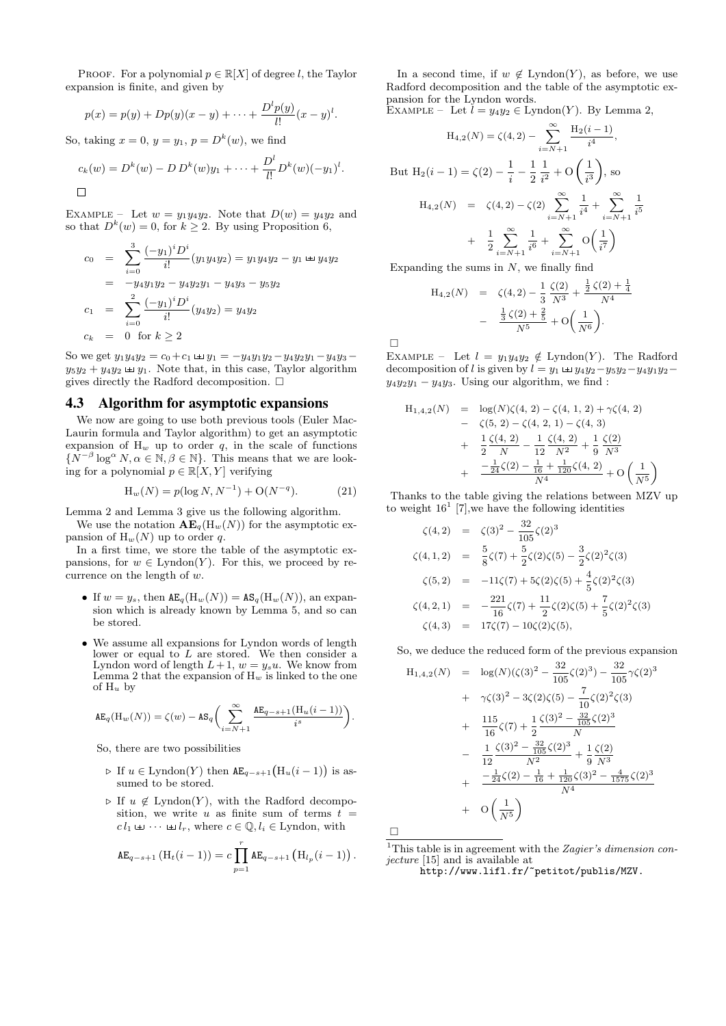PROOF. For a polynomial  $p \in \mathbb{R}[X]$  of degree l, the Taylor expansion is finite, and given by

$$
p(x) = p(y) + Dp(y)(x - y) + \cdots + \frac{D^{l} p(y)}{l!} (x - y)^{l}.
$$

So, taking  $x = 0$ ,  $y = y_1$ ,  $p = D^k(w)$ , we find

$$
c_k(w) = D^k(w) - D D^k(w) y_1 + \dots + \frac{D^l}{l!} D^k(w) (-y_1)^l.
$$

EXAMPLE – Let  $w = y_1y_4y_2$ . Note that  $D(w) = y_4y_2$  and so that  $D^k(w) = 0$ , for  $k \geq 2$ . By using Proposition 6,

$$
c_0 = \sum_{i=0}^{3} \frac{(-y_1)^i D^i}{i!} (y_1 y_4 y_2) = y_1 y_4 y_2 - y_1 \pm y_4 y_2
$$
  
\n
$$
= -y_4 y_1 y_2 - y_4 y_2 y_1 - y_4 y_3 - y_5 y_2
$$
  
\n
$$
c_1 = \sum_{i=0}^{2} \frac{(-y_1)^i D^i}{i!} (y_4 y_2) = y_4 y_2
$$
  
\n
$$
c_k = 0 \text{ for } k \ge 2
$$

So we get  $y_1y_4y_2 = c_0 + c_1 \boxplus y_1 = -y_4y_1y_2 - y_4y_2y_1 - y_4y_3$  $y_5y_2 + y_4y_2 \perp y_1$ . Note that, in this case, Taylor algorithm gives directly the Radford decomposition.  $\Box$ 

#### 4.3 Algorithm for asymptotic expansions

We now are going to use both previous tools (Euler Mac-Laurin formula and Taylor algorithm) to get an asymptotic expansion of  $H_w$  up to order q, in the scale of functions  $\{N^{-\beta}\log^{\alpha} N, \alpha \in \mathbb{N}, \beta \in \mathbb{N}\}.$  This means that we are looking for a polynomial  $p \in \mathbb{R}[X, Y]$  verifying

$$
H_w(N) = p(\log N, N^{-1}) + O(N^{-q}).
$$
 (21)

Lemma 2 and Lemma 3 give us the following algorithm.

We use the notation  $AE_q(H_w(N))$  for the asymptotic expansion of  $H_w(N)$  up to order q.

In a first time, we store the table of the asymptotic expansions, for  $w \in \text{Lyndon}(Y)$ . For this, we proceed by recurrence on the length of w.

- If  $w = y_s$ , then  $AE_q(H_w(N)) = AS_q(H_w(N))$ , an expansion which is already known by Lemma 5, and so can be stored.
- We assume all expansions for Lyndon words of length lower or equal to  $L$  are stored. We then consider a Lyndon word of length  $L+1$ ,  $w=y_s u$ . We know from Lemma 2 that the expansion of  $H_w$  is linked to the one of  $H_u$  by

$$
\texttt{AE}_q(\mathbf{H}_w(N)) = \zeta(w) - \texttt{AS}_q\biggl(\sum_{i=N+1}^\infty \frac{\texttt{AE}_{q-s+1}(\mathbf{H}_u(i-1))}{i^s}\biggr).
$$

So, there are two possibilities

- $\triangleright$  If  $u \in$  Lyndon(Y) then  $AE_{q-s+1}(H_u(i-1))$  is assumed to be stored.
- $\triangleright$  If  $u \notin$  Lyndon(Y), with the Radford decomposition, we write u as finite sum of terms  $t =$  $c l_1 \sqcup \cdots \sqcup l_r$ , where  $c \in \mathbb{Q}, l_i \in \text{Lyndon},$  with

$$
\mathsf{AE}_{q-s+1}(\mathsf{H}_t(i-1)) = c \prod_{p=1}^r \mathsf{AE}_{q-s+1}(\mathsf{H}_{l_p}(i-1)).
$$

In a second time, if  $w \notin \text{Lyndon}(Y)$ , as before, we use Radford decomposition and the table of the asymptotic expansion for the Lyndon words.

EXAMPLE – Let  $l = y_4y_2 \in \text{Lyndon}(Y)$ . By Lemma 2,

$$
H_{4,2}(N) = \zeta(4,2) - \sum_{i=N+1}^{\infty} \frac{H_2(i-1)}{i^4},
$$
  
But  $H_2(i-1) = \zeta(2) - \frac{1}{i} - \frac{1}{2} \frac{1}{i^2} + O\left(\frac{1}{i^3}\right)$ , so  

$$
H_{4,2}(N) = \zeta(4,2) - \zeta(2) \sum_{i=N+1}^{\infty} \frac{1}{i^4} + \sum_{i=N+1}^{\infty} \frac{1}{i^5}
$$

$$
+ \frac{1}{2} \sum_{i=N+1}^{\infty} \frac{1}{i^6} + \sum_{i=N+1}^{\infty} O\left(\frac{1}{i^7}\right)
$$

Expanding the sums in  $N$ , we finally find

$$
H_{4,2}(N) = \zeta(4,2) - \frac{1}{3} \frac{\zeta(2)}{N^3} + \frac{\frac{1}{2}\zeta(2) + \frac{1}{4}}{N^4}
$$

$$
- \frac{\frac{1}{3}\zeta(2) + \frac{2}{5}}{N^5} + O\left(\frac{1}{N^6}\right).
$$

 $\Box$ 

EXAMPLE – Let  $l = y_1y_4y_2 \notin$  Lyndon(Y). The Radford decomposition of l is given by  $l = y_1 \boxplus y_4y_2 - y_5y_2 - y_4y_1y_2$  $y_4y_2y_1 - y_4y_3$ . Using our algorithm, we find:

$$
H_{1,4,2}(N) = \log(N)\zeta(4, 2) - \zeta(4, 1, 2) + \gamma\zeta(4, 2)
$$
  
\n
$$
- \zeta(5, 2) - \zeta(4, 2, 1) - \zeta(4, 3)
$$
  
\n
$$
+ \frac{1}{2}\frac{\zeta(4, 2)}{N} - \frac{1}{12}\frac{\zeta(4, 2)}{N^2} + \frac{1}{9}\frac{\zeta(2)}{N^3}
$$
  
\n
$$
+ \frac{-\frac{1}{24}\zeta(2) - \frac{1}{16} + \frac{1}{120}\zeta(4, 2)}{N^4} + O\left(\frac{1}{N^5}\right)
$$

Thanks to the table giving the relations between MZV up to weight  $16<sup>1</sup>$  [7], we have the following identities

$$
\zeta(4,2) = \zeta(3)^2 - \frac{32}{105}\zeta(2)^3
$$
  
\n
$$
\zeta(4,1,2) = \frac{5}{8}\zeta(7) + \frac{5}{2}\zeta(2)\zeta(5) - \frac{3}{2}\zeta(2)^2\zeta(3)
$$
  
\n
$$
\zeta(5,2) = -11\zeta(7) + 5\zeta(2)\zeta(5) + \frac{4}{5}\zeta(2)^2\zeta(3)
$$
  
\n
$$
\zeta(4,2,1) = -\frac{221}{16}\zeta(7) + \frac{11}{2}\zeta(2)\zeta(5) + \frac{7}{5}\zeta(2)^2\zeta(3)
$$
  
\n
$$
\zeta(4,3) = 17\zeta(7) - 10\zeta(2)\zeta(5),
$$

So, we deduce the reduced form of the previous expansion

$$
H_{1,4,2}(N) = \log(N)(\zeta(3)^2 - \frac{32}{105}\zeta(2)^3) - \frac{32}{105}\gamma\zeta(2)^3
$$
  
+  $\gamma\zeta(3)^2 - 3\zeta(2)\zeta(5) - \frac{7}{10}\zeta(2)^2\zeta(3)$   
+  $\frac{115}{16}\zeta(7) + \frac{1}{2}\frac{\zeta(3)^2 - \frac{32}{105}\zeta(2)^3}{N}$   
-  $\frac{1}{12}\frac{\zeta(3)^2 - \frac{32}{105}\zeta(2)^3}{N^2} + \frac{1}{9}\frac{\zeta(2)}{N^3}$   
+  $\frac{-\frac{1}{24}\zeta(2) - \frac{1}{16} + \frac{1}{120}\zeta(3)^2 - \frac{4}{1575}\zeta(2)^3}{N^4}$   
+  $O\left(\frac{1}{N^5}\right)$ 

 $\Box$ 

<sup>1</sup>This table is in agreement with the Zagier's dimension conjecture [15] and is available at

http://www.lifl.fr/~petitot/publis/MZV.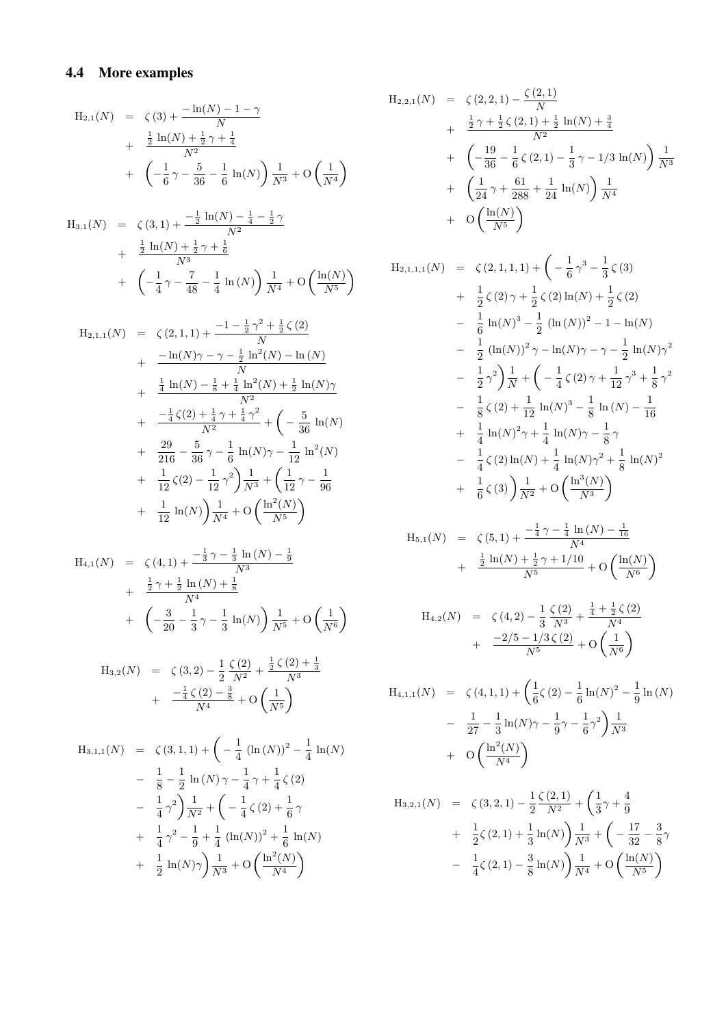# 4.4 More examples

$$
H_{2,1}(N) = \zeta(3) + \frac{-\ln(N) - 1 - \gamma}{N} + \frac{\frac{1}{2}\ln(N) + \frac{1}{2}\gamma + \frac{1}{4}}{N^2} + \left(-\frac{1}{6}\gamma - \frac{5}{36} - \frac{1}{6}\ln(N)\right)\frac{1}{N^3} + O\left(\frac{1}{N^4}\right)
$$

$$
H_{3,1}(N) = \zeta(3,1) + \frac{-\frac{1}{2}\ln(N) - \frac{1}{4} - \frac{1}{2}\gamma}{N^2} + \frac{\frac{1}{2}\ln(N) + \frac{1}{2}\gamma + \frac{1}{6}}{N^3} + \left(-\frac{1}{4}\gamma - \frac{7}{48} - \frac{1}{4}\ln(N)\right)\frac{1}{N^4} + O\left(\frac{\ln(N)}{N^5}\right)
$$

$$
H_{2,1,1}(N) = \zeta(2,1,1) + \frac{-1 - \frac{1}{2}\gamma^2 + \frac{1}{2}\zeta(2)}{N}
$$
  
+ 
$$
\frac{-\ln(N)\gamma - \gamma - \frac{1}{2}\ln^2(N) - \ln(N)}{N}
$$
  
+ 
$$
\frac{\frac{1}{4}\ln(N) - \frac{1}{8} + \frac{1}{4}\ln^2(N) + \frac{1}{2}\ln(N)\gamma}{N^2}
$$
  
+ 
$$
\frac{-\frac{1}{4}\zeta(2) + \frac{1}{4}\gamma + \frac{1}{4}\gamma^2}{N^2} + \left(-\frac{5}{36}\ln(N) + \frac{29}{216} - \frac{5}{36}\gamma - \frac{1}{6}\ln(N)\gamma - \frac{1}{12}\ln^2(N) + \frac{1}{12}\zeta(2) - \frac{1}{12}\gamma^2\right)\frac{1}{N^3} + \left(\frac{1}{12}\gamma - \frac{1}{96}\right)
$$
  
+ 
$$
\frac{1}{12}\ln(N)\left(\frac{1}{N^5}\right)
$$

$$
H_{4,1}(N) = \zeta(4,1) + \frac{-\frac{1}{3}\gamma - \frac{1}{3}\ln(N) - \frac{1}{9}}{N^3} + \frac{\frac{1}{2}\gamma + \frac{1}{2}\ln(N) + \frac{1}{8}}{N^4} + \left(-\frac{3}{20} - \frac{1}{3}\gamma - \frac{1}{3}\ln(N)\right)\frac{1}{N^5} + O\left(\frac{1}{N^6}\right)
$$

$$
H_{3,2}(N) = \zeta(3,2) - \frac{1}{2} \frac{\zeta(2)}{N^2} + \frac{\frac{1}{2}\zeta(2) + \frac{1}{3}}{N^3} + \frac{-\frac{1}{4}\zeta(2) - \frac{3}{8}}{N^4} + O\left(\frac{1}{N^5}\right)
$$

$$
H_{3,1,1}(N) = \zeta(3,1,1) + \left(-\frac{1}{4} (\ln(N))^{2} - \frac{1}{4} \ln(N) - \frac{1}{8} - \frac{1}{2} \ln(N) \gamma - \frac{1}{4} \gamma + \frac{1}{4} \zeta(2) - \frac{1}{4} \gamma^{2} \right) \frac{1}{N^{2}} + \left(-\frac{1}{4} \zeta(2) + \frac{1}{6} \gamma + \frac{1}{4} \gamma^{2} - \frac{1}{9} + \frac{1}{4} (\ln(N))^{2} + \frac{1}{6} \ln(N) + \frac{1}{2} \ln(N) \gamma \right) \frac{1}{N^{3}} + O\left(\frac{\ln^{2}(N)}{N^{4}}\right)
$$

$$
H_{2,2,1}(N) = \zeta(2,2,1) - \frac{\zeta(2,1)}{N} + \frac{\frac{1}{2}\gamma + \frac{1}{2}\zeta(2,1) + \frac{1}{2}\ln(N) + \frac{3}{4}}{N^2} + \left(-\frac{19}{36} - \frac{1}{6}\zeta(2,1) - \frac{1}{3}\gamma - 1/3\ln(N)\right)\frac{1}{N^3} + \left(\frac{1}{24}\gamma + \frac{61}{288} + \frac{1}{24}\ln(N)\right)\frac{1}{N^4} + O\left(\frac{\ln(N)}{N^5}\right)
$$

$$
H_{2,1,1,1}(N) = \zeta(2,1,1,1) + \left(-\frac{1}{6}\gamma^3 - \frac{1}{3}\zeta(3) + \frac{1}{2}\zeta(2)\gamma + \frac{1}{2}\zeta(2)\ln(N) + \frac{1}{2}\zeta(2) - \frac{1}{6}\ln(N)^3 - \frac{1}{2}\left(\ln(N)\right)^2 - 1 - \ln(N) - \frac{1}{2}\left(\ln(N)\right)^2\gamma - \ln(N)\gamma - \gamma - \frac{1}{2}\ln(N)\gamma^2 - \frac{1}{2}\gamma^2\right)\frac{1}{N} + \left(-\frac{1}{4}\zeta(2)\gamma + \frac{1}{12}\gamma^3 + \frac{1}{8}\gamma^2 - \frac{1}{8}\zeta(2) + \frac{1}{12}\ln(N)^3 - \frac{1}{8}\ln(N) - \frac{1}{16} + \frac{1}{4}\ln(N)^2\gamma + \frac{1}{4}\ln(N)\gamma - \frac{1}{8}\gamma - \frac{1}{4}\zeta(2)\ln(N) + \frac{1}{4}\ln(N)\gamma^2 + \frac{1}{8}\ln(N)^2 + \frac{1}{6}\zeta(3)\frac{1}{N^2} + O\left(\frac{\ln^3(N)}{N^3}\right)
$$

$$
H_{5,1}(N) = \zeta(5,1) + \frac{-\frac{1}{4}\gamma - \frac{1}{4}\ln(N) - \frac{1}{16}}{N^4} + \frac{\frac{1}{2}\ln(N) + \frac{1}{2}\gamma + 1/10}{N^5} + O\left(\frac{\ln(N)}{N^6}\right)
$$

$$
H_{4,2}(N) = \zeta(4,2) - \frac{1}{3} \frac{\zeta(2)}{N^3} + \frac{\frac{1}{4} + \frac{1}{2}\zeta(2)}{N^4} + \frac{-2/5 - 1/3\zeta(2)}{N^5} + O\left(\frac{1}{N^6}\right)
$$

$$
H_{4,1,1}(N) = \zeta(4,1,1) + \left(\frac{1}{6}\zeta(2) - \frac{1}{6}\ln(N)^2 - \frac{1}{9}\ln(N)\right) - \frac{1}{27} - \frac{1}{3}\ln(N)\gamma - \frac{1}{9}\gamma - \frac{1}{6}\gamma^2\right)\frac{1}{N^3} + O\left(\frac{\ln^2(N)}{N^4}\right)
$$

$$
H_{3,2,1}(N) = \zeta(3,2,1) - \frac{1}{2} \frac{\zeta(2,1)}{N^2} + \left(\frac{1}{3}\gamma + \frac{4}{9}\n+ \frac{1}{2}\zeta(2,1) + \frac{1}{3}\ln(N)\right)\frac{1}{N^3} + \left(-\frac{17}{32} - \frac{3}{8}\gamma\right)\n- \frac{1}{4}\zeta(2,1) - \frac{3}{8}\ln(N)\frac{1}{N^4} + O\left(\frac{\ln(N)}{N^5}\right)
$$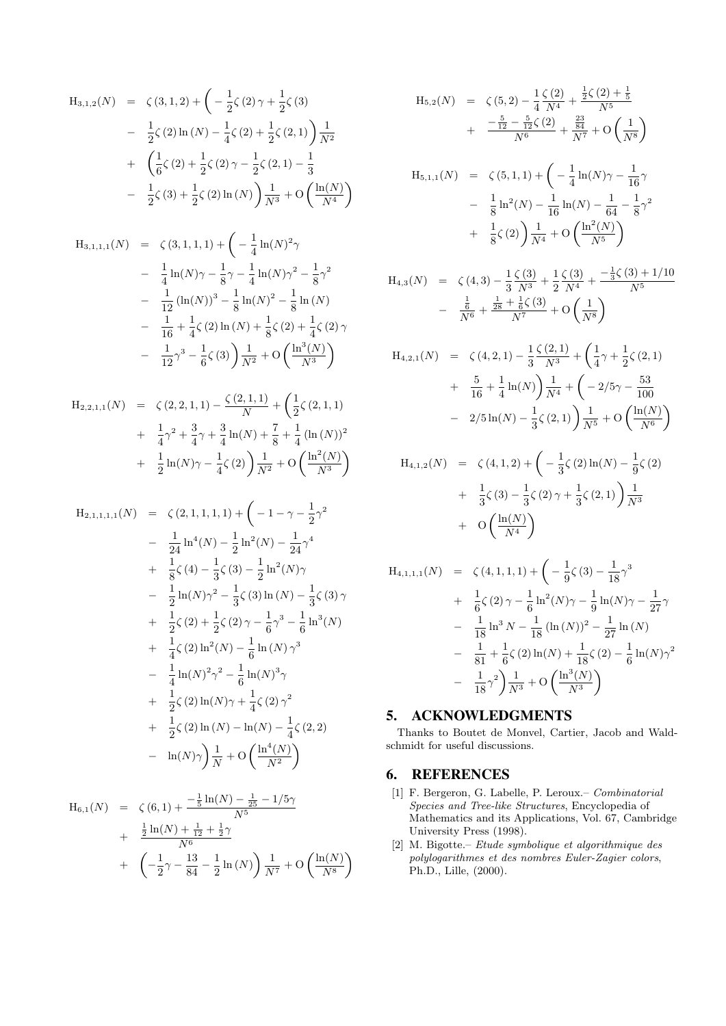$$
H_{3,1,2}(N) = \zeta(3,1,2) + \left(-\frac{1}{2}\zeta(2)\gamma + \frac{1}{2}\zeta(3)\right)
$$
  
-  $\frac{1}{2}\zeta(2)\ln(N) - \frac{1}{4}\zeta(2) + \frac{1}{2}\zeta(2,1)\right)\frac{1}{N^2}$   
+  $\left(\frac{1}{6}\zeta(2) + \frac{1}{2}\zeta(2)\gamma - \frac{1}{2}\zeta(2,1) - \frac{1}{3}\right)$   
-  $\frac{1}{2}\zeta(3) + \frac{1}{2}\zeta(2)\ln(N)\right)\frac{1}{N^3} + O\left(\frac{\ln(N)}{N^4}\right)$ 

$$
H_{3,1,1,1}(N) = \zeta(3,1,1,1) + \left(-\frac{1}{4}\ln(N)^2\gamma\right)
$$
  
-  $\frac{1}{4}\ln(N)\gamma - \frac{1}{8}\gamma - \frac{1}{4}\ln(N)\gamma^2 - \frac{1}{8}\gamma^2$   
-  $\frac{1}{12}(\ln(N))^3 - \frac{1}{8}\ln(N)^2 - \frac{1}{8}\ln(N)$   
-  $\frac{1}{16} + \frac{1}{4}\zeta(2)\ln(N) + \frac{1}{8}\zeta(2) + \frac{1}{4}\zeta(2)\gamma$   
-  $\frac{1}{12}\gamma^3 - \frac{1}{6}\zeta(3)\left(\frac{1}{N^2}\right) + O\left(\frac{\ln^3(N)}{N^3}\right)$ 

$$
H_{2,2,1,1}(N) = \zeta(2,2,1,1) - \frac{\zeta(2,1,1)}{N} + \left(\frac{1}{2}\zeta(2,1,1) + \frac{1}{4}\gamma^2 + \frac{3}{4}\gamma + \frac{3}{4}\ln(N) + \frac{7}{8} + \frac{1}{4}\left(\ln(N)\right)^2 + \frac{1}{2}\ln(N)\gamma - \frac{1}{4}\zeta(2)\right)\frac{1}{N^2} + O\left(\frac{\ln^2(N)}{N^3}\right)
$$

$$
H_{2,1,1,1,1}(N) = \zeta(2,1,1,1,1) + \left(-1 - \gamma - \frac{1}{2}\gamma^2\right)
$$
  
\n
$$
- \frac{1}{24}\ln^4(N) - \frac{1}{2}\ln^2(N) - \frac{1}{24}\gamma^4
$$
  
\n
$$
+ \frac{1}{8}\zeta(4) - \frac{1}{3}\zeta(3) - \frac{1}{2}\ln^2(N)\gamma
$$
  
\n
$$
- \frac{1}{2}\ln(N)\gamma^2 - \frac{1}{3}\zeta(3)\ln(N) - \frac{1}{3}\zeta(3)\gamma
$$
  
\n
$$
+ \frac{1}{2}\zeta(2) + \frac{1}{2}\zeta(2)\gamma - \frac{1}{6}\gamma^3 - \frac{1}{6}\ln^3(N)
$$
  
\n
$$
+ \frac{1}{4}\zeta(2)\ln^2(N) - \frac{1}{6}\ln(N)\gamma^3
$$
  
\n
$$
- \frac{1}{4}\ln(N)^2\gamma^2 - \frac{1}{6}\ln(N)^3\gamma
$$
  
\n
$$
+ \frac{1}{2}\zeta(2)\ln(N)\gamma + \frac{1}{4}\zeta(2)\gamma^2
$$
  
\n
$$
+ \frac{1}{2}\zeta(2)\ln(N) - \ln(N) - \frac{1}{4}\zeta(2,2)
$$
  
\n
$$
- \ln(N)\gamma\frac{1}{N} + O\left(\frac{\ln^4(N)}{N^2}\right)
$$

$$
H_{6,1}(N) = \zeta(6,1) + \frac{-\frac{1}{5}\ln(N) - \frac{1}{25} - 1/5\gamma}{N^5} + \frac{\frac{1}{2}\ln(N) + \frac{1}{12} + \frac{1}{2}\gamma}{N^6} + \left(-\frac{1}{2}\gamma - \frac{13}{84} - \frac{1}{2}\ln(N)\right)\frac{1}{N^7} + O\left(\frac{\ln(N)}{N^8}\right)
$$

$$
H_{5,2}(N) = \zeta(5,2) - \frac{1}{4} \frac{\zeta(2)}{N^4} + \frac{\frac{1}{2}\zeta(2) + \frac{1}{5}}{N^5} + \frac{-\frac{5}{12} - \frac{5}{12}\zeta(2)}{N^6} + \frac{\frac{23}{84}}{N^7} + O\left(\frac{1}{N^8}\right) H_{5,1,1}(N) = \zeta(5,1,1) + \left(-\frac{1}{4}\ln(N)\gamma - \frac{1}{16}\gamma\right) - \frac{1}{8}\ln^2(N) - \frac{1}{16}\ln(N) - \frac{1}{64} - \frac{1}{8}\gamma^2 + \frac{1}{8}\zeta(2)\left(\frac{1}{N^4} + O\left(\frac{\ln^2(N)}{N^5}\right)\right) H_{4,3}(N) = \zeta(4,3) - \frac{1}{3}\frac{\zeta(3)}{N^3} + \frac{1}{2}\frac{\zeta(3)}{N^4} + \frac{-\frac{1}{3}\zeta(3) + 1/10}{N^5}
$$

$$
H_{4,2,1}(N) = \zeta(4,2,1) - \frac{1}{3} \frac{\zeta(2,1)}{N^3} + \left(\frac{1}{4}\gamma + \frac{1}{2}\zeta(2,1) + \frac{5}{16} + \frac{1}{4}\ln(N)\right) \frac{1}{N^4} + \left(-2/5\gamma - \frac{53}{100} - 2/5\ln(N) - \frac{1}{3}\zeta(2,1)\right) \frac{1}{N^5} + O\left(\frac{\ln(N)}{N^6}\right)
$$

 $N^8$ λ

 $-\frac{\frac{1}{6}}{N^6} + \frac{\frac{1}{28} + \frac{1}{6}\zeta(3)}{N^7} + O\left(\frac{1}{N}\right)$ 

$$
H_{4,1,2}(N) = \zeta(4,1,2) + \left(-\frac{1}{3}\zeta(2)\ln(N) - \frac{1}{9}\zeta(2) + \frac{1}{3}\zeta(3) - \frac{1}{3}\zeta(2)\gamma + \frac{1}{3}\zeta(2,1)\right)\frac{1}{N^3} + O\left(\frac{\ln(N)}{N^4}\right)
$$

$$
H_{4,1,1,1}(N) = \zeta (4,1,1,1) + \left(-\frac{1}{9}\zeta (3) - \frac{1}{18}\gamma^3 + \frac{1}{6}\zeta (2)\gamma - \frac{1}{6}\ln^2(N)\gamma - \frac{1}{9}\ln(N)\gamma - \frac{1}{27}\gamma - \frac{1}{18}\ln^3 N - \frac{1}{18}(\ln(N))^2 - \frac{1}{27}\ln(N) - \frac{1}{81} + \frac{1}{6}\zeta (2)\ln(N) + \frac{1}{18}\zeta (2) - \frac{1}{6}\ln(N)\gamma^2 - \frac{1}{18}\gamma^2\right) \frac{1}{N^3} + O\left(\frac{\ln^3(N)}{N^3}\right)
$$

# 5. ACKNOWLEDGMENTS

Thanks to Boutet de Monvel, Cartier, Jacob and Waldschmidt for useful discussions.

# 6. REFERENCES

- [1] F. Bergeron, G. Labelle, P. Leroux.– Combinatorial Species and Tree-like Structures, Encyclopedia of Mathematics and its Applications, Vol. 67, Cambridge University Press (1998).
- [2] M. Bigotte.– Etude symbolique et algorithmique des polylogarithmes et des nombres Euler-Zagier colors, Ph.D., Lille, (2000).